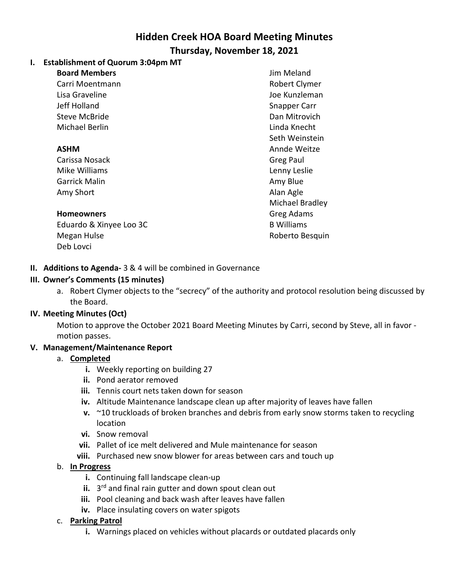# **Hidden Creek HOA Board Meeting Minutes**

### **Thursday, November 18, 2021**

# **I. Establishment of Quorum 3:04pm MT**

**Board Members**

Carri Moentmann Lisa Graveline Jeff Holland Steve McBride Michael Berlin

#### **ASHM**

Carissa Nosack Mike Williams Garrick Malin Amy Short

#### **Homeowners**

Eduardo & Xinyee Loo 3C Megan Hulse Deb Lovci

Jim Meland Robert Clymer Joe Kunzleman Snapper Carr Dan Mitrovich Linda Knecht Seth Weinstein Annde Weitze Greg Paul Lenny Leslie Amy Blue Alan Agle Michael Bradley Greg Adams B Williams Roberto Besquin

# **II. Additions to Agenda-** 3 & 4 will be combined in Governance

#### **III. Owner's Comments (15 minutes)**

a. Robert Clymer objects to the "secrecy" of the authority and protocol resolution being discussed by the Board.

# **IV. Meeting Minutes (Oct)**

Motion to approve the October 2021 Board Meeting Minutes by Carri, second by Steve, all in favor motion passes.

#### **V. Management/Maintenance Report**

- a. **Completed**
	- **i.** Weekly reporting on building 27
	- **ii.** Pond aerator removed
	- **iii.** Tennis court nets taken down for season
	- **iv.** Altitude Maintenance landscape clean up after majority of leaves have fallen
	- **v.** ~10 truckloads of broken branches and debris from early snow storms taken to recycling location
	- **vi.** Snow removal
	- **vii.** Pallet of ice melt delivered and Mule maintenance for season
	- **viii.** Purchased new snow blower for areas between cars and touch up

# b. **In Progress**

- **i.** Continuing fall landscape clean-up
- **ii.** 3<sup>rd</sup> and final rain gutter and down spout clean out
- **iii.** Pool cleaning and back wash after leaves have fallen
- **iv.** Place insulating covers on water spigots

#### c. **Parking Patrol**

**i.** Warnings placed on vehicles without placards or outdated placards only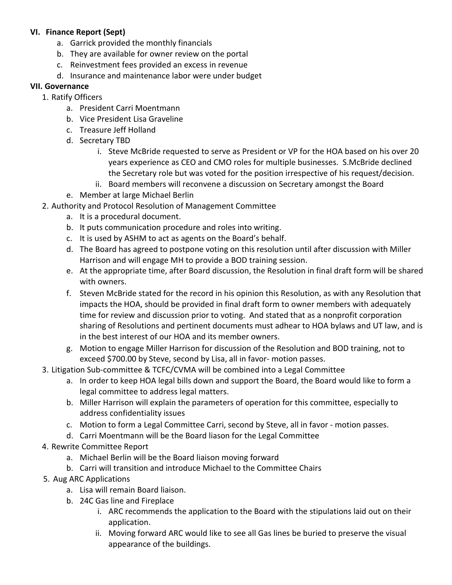#### **VI. Finance Report (Sept)**

- a. Garrick provided the monthly financials
- b. They are available for owner review on the portal
- c. Reinvestment fees provided an excess in revenue
- d. Insurance and maintenance labor were under budget

#### **VII. Governance**

- 1. Ratify Officers
	- a. President Carri Moentmann
	- b. Vice President Lisa Graveline
	- c. Treasure Jeff Holland
	- d. Secretary TBD
		- i. Steve McBride requested to serve as President or VP for the HOA based on his over 20 years experience as CEO and CMO roles for multiple businesses. S.McBride declined the Secretary role but was voted for the position irrespective of his request/decision.
		- ii. Board members will reconvene a discussion on Secretary amongst the Board
	- e. Member at large Michael Berlin
- 2. Authority and Protocol Resolution of Management Committee
	- a. It is a procedural document.
	- b. It puts communication procedure and roles into writing.
	- c. It is used by ASHM to act as agents on the Board's behalf.
	- d. The Board has agreed to postpone voting on this resolution until after discussion with Miller Harrison and will engage MH to provide a BOD training session.
	- e. At the appropriate time, after Board discussion, the Resolution in final draft form will be shared with owners.
	- f. Steven McBride stated for the record in his opinion this Resolution, as with any Resolution that impacts the HOA, should be provided in final draft form to owner members with adequately time for review and discussion prior to voting. And stated that as a nonprofit corporation sharing of Resolutions and pertinent documents must adhear to HOA bylaws and UT law, and is in the best interest of our HOA and its member owners.
	- g. Motion to engage Miller Harrison for discussion of the Resolution and BOD training, not to exceed \$700.00 by Steve, second by Lisa, all in favor- motion passes.
- 3. Litigation Sub-committee & TCFC/CVMA will be combined into a Legal Committee
	- a. In order to keep HOA legal bills down and support the Board, the Board would like to form a legal committee to address legal matters.
	- b. Miller Harrison will explain the parameters of operation for this committee, especially to address confidentiality issues
	- c. Motion to form a Legal Committee Carri, second by Steve, all in favor motion passes.
	- d. Carri Moentmann will be the Board liason for the Legal Committee
- 4. Rewrite Committee Report
	- a. Michael Berlin will be the Board liaison moving forward
	- b. Carri will transition and introduce Michael to the Committee Chairs
- 5. Aug ARC Applications
	- a. Lisa will remain Board liaison.
	- b. 24C Gas line and Fireplace
		- i. ARC recommends the application to the Board with the stipulations laid out on their application.
		- ii. Moving forward ARC would like to see all Gas lines be buried to preserve the visual appearance of the buildings.